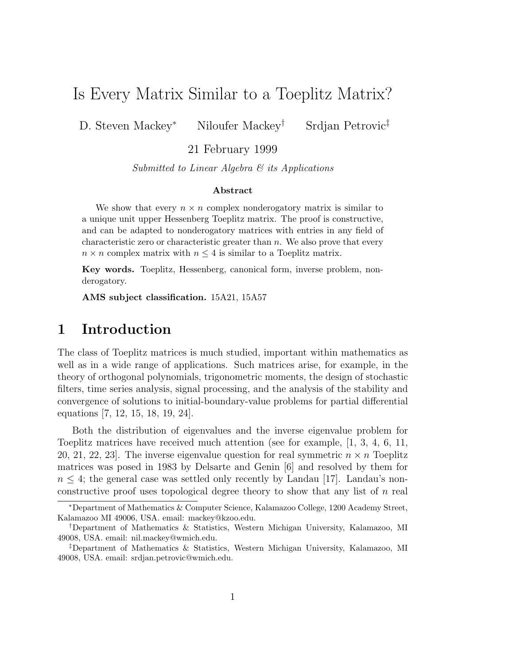# Is Every Matrix Similar to a Toeplitz Matrix?

D. Steven Mackey<sup>∗</sup> Niloufer Mackey† Srdjan Petrovic‡

21 February 1999

Submitted to Linear Algebra  $\mathcal C$  its Applications

#### Abstract

We show that every  $n \times n$  complex nonderogatory matrix is similar to a unique unit upper Hessenberg Toeplitz matrix. The proof is constructive, and can be adapted to nonderogatory matrices with entries in any field of characteristic zero or characteristic greater than n. We also prove that every  $n \times n$  complex matrix with  $n \leq 4$  is similar to a Toeplitz matrix.

Key words. Toeplitz, Hessenberg, canonical form, inverse problem, nonderogatory.

AMS subject classification. 15A21, 15A57

### 1 Introduction

The class of Toeplitz matrices is much studied, important within mathematics as well as in a wide range of applications. Such matrices arise, for example, in the theory of orthogonal polynomials, trigonometric moments, the design of stochastic filters, time series analysis, signal processing, and the analysis of the stability and convergence of solutions to initial-boundary-value problems for partial differential equations [7, 12, 15, 18, 19, 24].

Both the distribution of eigenvalues and the inverse eigenvalue problem for Toeplitz matrices have received much attention (see for example, [1, 3, 4, 6, 11, 20, 21, 22, 23. The inverse eigenvalue question for real symmetric  $n \times n$  Toeplitz matrices was posed in 1983 by Delsarte and Genin [6] and resolved by them for  $n \leq 4$ ; the general case was settled only recently by Landau [17]. Landau's nonconstructive proof uses topological degree theory to show that any list of  $n$  real

<sup>∗</sup>Department of Mathematics & Computer Science, Kalamazoo College, 1200 Academy Street, Kalamazoo MI 49006, USA. email: mackey@kzoo.edu.

<sup>†</sup>Department of Mathematics & Statistics, Western Michigan University, Kalamazoo, MI 49008, USA. email: nil.mackey@wmich.edu.

<sup>‡</sup>Department of Mathematics & Statistics, Western Michigan University, Kalamazoo, MI 49008, USA. email: srdjan.petrovic@wmich.edu.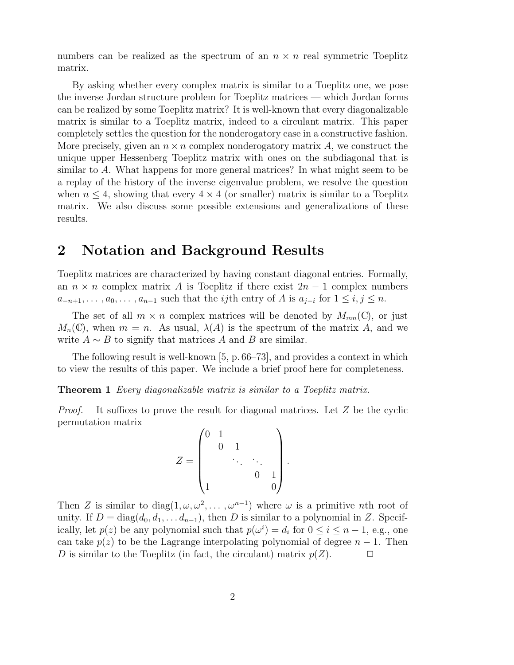numbers can be realized as the spectrum of an  $n \times n$  real symmetric Toeplitz matrix.

By asking whether every complex matrix is similar to a Toeplitz one, we pose the inverse Jordan structure problem for Toeplitz matrices — which Jordan forms can be realized by some Toeplitz matrix? It is well-known that every diagonalizable matrix is similar to a Toeplitz matrix, indeed to a circulant matrix. This paper completely settles the question for the nonderogatory case in a constructive fashion. More precisely, given an  $n \times n$  complex nonderogatory matrix A, we construct the unique upper Hessenberg Toeplitz matrix with ones on the subdiagonal that is similar to A. What happens for more general matrices? In what might seem to be a replay of the history of the inverse eigenvalue problem, we resolve the question when  $n \leq 4$ , showing that every  $4 \times 4$  (or smaller) matrix is similar to a Toeplitz matrix. We also discuss some possible extensions and generalizations of these results.

#### 2 Notation and Background Results

Toeplitz matrices are characterized by having constant diagonal entries. Formally, an  $n \times n$  complex matrix A is Toeplitz if there exist  $2n - 1$  complex numbers  $a_{-n+1}, \ldots, a_0, \ldots, a_{n-1}$  such that the *ij*th entry of A is  $a_{j-i}$  for  $1 \le i, j \le n$ .

The set of all  $m \times n$  complex matrices will be denoted by  $M_{mn}(\mathbb{C})$ , or just  $M_n(\mathbb{C})$ , when  $m = n$ . As usual,  $\lambda(A)$  is the spectrum of the matrix A, and we write  $A \sim B$  to signify that matrices A and B are similar.

The following result is well-known [5, p. 66–73], and provides a context in which to view the results of this paper. We include a brief proof here for completeness.

Theorem 1 Every diagonalizable matrix is similar to a Toeplitz matrix.

*Proof.* It suffices to prove the result for diagonal matrices. Let  $Z$  be the cyclic permutation matrix

$$
Z = \begin{pmatrix} 0 & 1 & & & \\ & 0 & 1 & & \\ & & \ddots & \ddots & \\ & & & 0 & 1 \\ 1 & & & & 0 \end{pmatrix}.
$$

Then Z is similar to diag( $1, \omega, \omega^2, \ldots, \omega^{n-1}$ ) where  $\omega$  is a primitive nth root of unity. If  $D = diag(d_0, d_1, \ldots d_{n-1})$ , then D is similar to a polynomial in Z. Specifically, let  $p(z)$  be any polynomial such that  $p(\omega^i) = d_i$  for  $0 \le i \le n - 1$ , e.g., one can take  $p(z)$  to be the Lagrange interpolating polynomial of degree  $n-1$ . Then <br>*D* is similar to the Toeplitz (in fact, the circulant) matrix  $p(Z)$ . D is similar to the Toeplitz (in fact, the circulant) matrix  $p(Z)$ .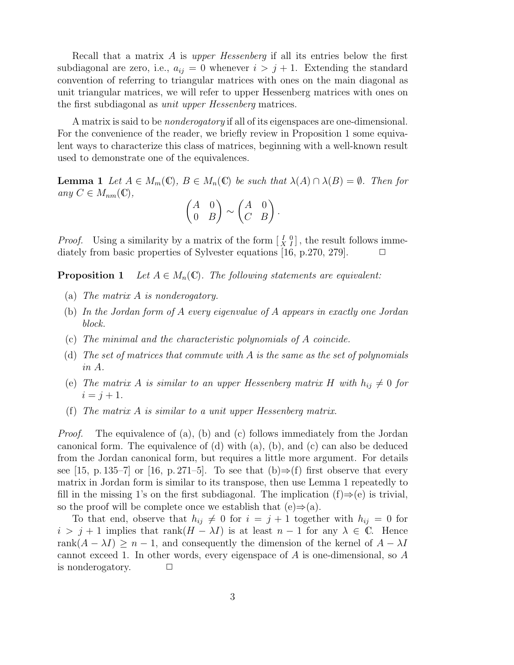Recall that a matrix A is upper Hessenberg if all its entries below the first subdiagonal are zero, i.e.,  $a_{ij} = 0$  whenever  $i > j + 1$ . Extending the standard convention of referring to triangular matrices with ones on the main diagonal as unit triangular matrices, we will refer to upper Hessenberg matrices with ones on the first subdiagonal as unit upper Hessenberg matrices.

A matrix is said to be nonderogatory if all of its eigenspaces are one-dimensional. For the convenience of the reader, we briefly review in Proposition 1 some equivalent ways to characterize this class of matrices, beginning with a well-known result used to demonstrate one of the equivalences.

**Lemma 1** Let  $A \in M_m(\mathbb{C})$ ,  $B \in M_n(\mathbb{C})$  be such that  $\lambda(A) \cap \lambda(B) = \emptyset$ . Then for any  $C \in M_{nm}(\mathbb{C}),$ 

$$
\begin{pmatrix} A & 0 \\ 0 & B \end{pmatrix} \sim \begin{pmatrix} A & 0 \\ C & B \end{pmatrix}.
$$

*Proof.* Using a similarity by a matrix of the form  $\begin{bmatrix} I & 0 \\ X & I \end{bmatrix}$ , the result follows immediately from basic properties of Sylvester equations [16, p.270, 279].  $\Box$ 

**Proposition 1** Let  $A \in M_n(\mathbb{C})$ . The following statements are equivalent:

- (a) The matrix A is nonderogatory.
- (b) In the Jordan form of A every eigenvalue of A appears in exactly one Jordan block.
- (c) The minimal and the characteristic polynomials of A coincide.
- (d) The set of matrices that commute with A is the same as the set of polynomials in A.
- (e) The matrix A is similar to an upper Hessenberg matrix H with  $h_{ij} \neq 0$  for  $i = j + 1.$
- (f) The matrix A is similar to a unit upper Hessenberg matrix.

*Proof.* The equivalence of (a), (b) and (c) follows immediately from the Jordan canonical form. The equivalence of (d) with (a), (b), and (c) can also be deduced from the Jordan canonical form, but requires a little more argument. For details see [15, p. 135–7] or [16, p. 271–5]. To see that (b) $\Rightarrow$ (f) first observe that every matrix in Jordan form is similar to its transpose, then use Lemma 1 repeatedly to fill in the missing 1's on the first subdiagonal. The implication  $(f) \Rightarrow (e)$  is trivial, so the proof will be complete once we establish that  $(e) \Rightarrow (a)$ .

To that end, observe that  $h_{ij} \neq 0$  for  $i = j + 1$  together with  $h_{ij} = 0$  for  $i > j + 1$  implies that rank $(H - \lambda I)$  is at least  $n - 1$  for any  $\lambda \in \mathbb{C}$ . Hence rank $(A - \lambda I) \geq n - 1$ , and consequently the dimension of the kernel of  $A - \lambda I$ cannot exceed 1. In other words, every eigenspace of A is one-dimensional, so A is nonderogatory.  $\Box$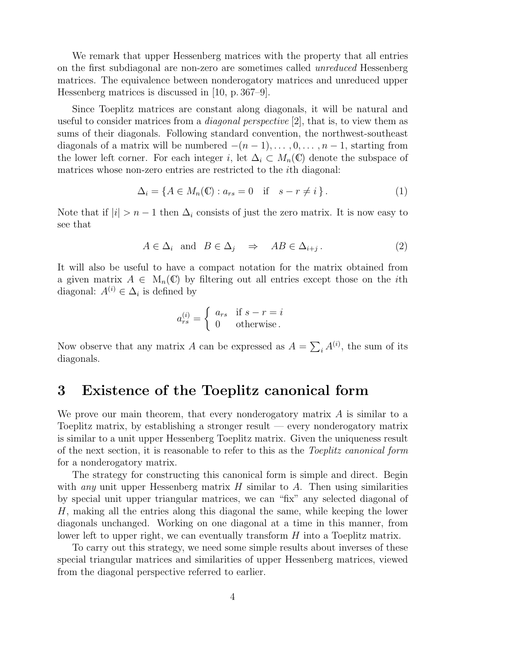We remark that upper Hessenberg matrices with the property that all entries on the first subdiagonal are non-zero are sometimes called unreduced Hessenberg matrices. The equivalence between nonderogatory matrices and unreduced upper Hessenberg matrices is discussed in [10, p. 367–9].

Since Toeplitz matrices are constant along diagonals, it will be natural and useful to consider matrices from a *diagonal perspective* [2], that is, to view them as sums of their diagonals. Following standard convention, the northwest-southeast diagonals of a matrix will be numbered  $-(n-1), \ldots, 0, \ldots, n-1$ , starting from the lower left corner. For each integer i, let  $\Delta_i \subset M_n(\mathbb{C})$  denote the subspace of matrices whose non-zero entries are restricted to the ith diagonal:

$$
\Delta_i = \{ A \in M_n(\mathbb{C}) : a_{rs} = 0 \quad \text{if} \quad s - r \neq i \}. \tag{1}
$$

Note that if  $|i| > n - 1$  then  $\Delta_i$  consists of just the zero matrix. It is now easy to see that

$$
A \in \Delta_i \quad \text{and} \quad B \in \Delta_j \quad \Rightarrow \quad AB \in \Delta_{i+j} \,. \tag{2}
$$

It will also be useful to have a compact notation for the matrix obtained from a given matrix  $A \in M_n(\mathbb{C})$  by filtering out all entries except those on the *i*th diagonal:  $A^{(i)} \in \Delta_i$  is defined by

$$
a_{rs}^{(i)} = \begin{cases} a_{rs} & \text{if } s - r = i \\ 0 & \text{otherwise} \end{cases}
$$

Now observe that any matrix A can be expressed as  $A = \sum_i A^{(i)}$ , the sum of its diagonals.

# 3 Existence of the Toeplitz canonical form

We prove our main theorem, that every nonderogatory matrix  $A$  is similar to a Toeplitz matrix, by establishing a stronger result — every nonderogatory matrix is similar to a unit upper Hessenberg Toeplitz matrix. Given the uniqueness result of the next section, it is reasonable to refer to this as the Toeplitz canonical form for a nonderogatory matrix.

The strategy for constructing this canonical form is simple and direct. Begin with *any* unit upper Hessenberg matrix  $H$  similar to  $A$ . Then using similarities by special unit upper triangular matrices, we can "fix" any selected diagonal of H, making all the entries along this diagonal the same, while keeping the lower diagonals unchanged. Working on one diagonal at a time in this manner, from lower left to upper right, we can eventually transform H into a Toeplitz matrix.

To carry out this strategy, we need some simple results about inverses of these special triangular matrices and similarities of upper Hessenberg matrices, viewed from the diagonal perspective referred to earlier.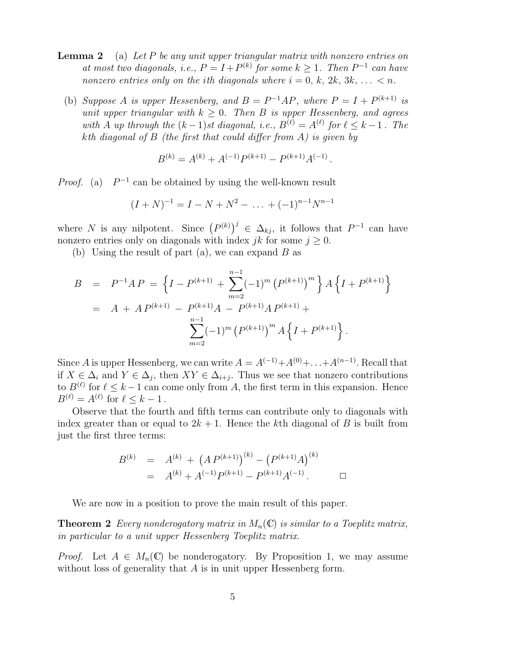- **Lemma 2** (a) Let P be any unit upper triangular matrix with nonzero entries on at most two diagonals, i.e.,  $P = I + P^{(k)}$  for some  $k \geq 1$ . Then  $P^{-1}$  can have nonzero entries only on the ith diagonals where  $i = 0, k, 2k, 3k, \ldots \leq n$ .
	- (b) Suppose A is upper Hessenberg, and  $B = P^{-1}AP$ , where  $P = I + P^{(k+1)}$  is unit upper triangular with  $k \geq 0$ . Then B is upper Hessenberg, and agrees with A up through the  $(k-1)$ st diagonal, i.e.,  $B^{(\ell)} = A^{(\ell)}$  for  $\ell \leq k-1$ . The kth diagonal of  $B$  (the first that could differ from A) is given by

$$
B^{(k)} = A^{(k)} + A^{(-1)}P^{(k+1)} - P^{(k+1)}A^{(-1)}
$$

.

*Proof.* (a)  $P^{-1}$  can be obtained by using the well-known result

$$
(I+N)^{-1} = I - N + N^2 - \dots + (-1)^{n-1} N^{n-1}
$$

where N is any nilpotent. Since  $(P^{(k)})^j \in \Delta_{kj}$ , it follows that  $P^{-1}$  can have nonzero entries only on diagonals with index jk for some  $j \geq 0$ .

(b) Using the result of part (a), we can expand  $B$  as

$$
B = P^{-1}AP = \left\{ I - P^{(k+1)} + \sum_{m=2}^{n-1} (-1)^m (P^{(k+1)})^m \right\} A \left\{ I + P^{(k+1)} \right\}
$$
  
=  $A + AP^{(k+1)} - P^{(k+1)}A - P^{(k+1)}AP^{(k+1)} + \sum_{m=2}^{n-1} (-1)^m (P^{(k+1)})^m A \left\{ I + P^{(k+1)} \right\}.$ 

Since A is upper Hessenberg, we can write  $A = A^{(-1)} + A^{(0)} + \ldots + A^{(n-1)}$ . Recall that if  $X \in \Delta_i$  and  $Y \in \Delta_j$ , then  $XY \in \Delta_{i+j}$ . Thus we see that nonzero contributions to  $B^{(\ell)}$  for  $\ell \leq k-1$  can come only from A, the first term in this expansion. Hence  $B^{(\ell)} = A^{(\ell)}$  for  $\ell \leq k - 1$ .

Observe that the fourth and fifth terms can contribute only to diagonals with index greater than or equal to  $2k + 1$ . Hence the kth diagonal of B is built from just the first three terms:

$$
B^{(k)} = A^{(k)} + (A P^{(k+1)})^{(k)} - (P^{(k+1)}A)^{(k)}
$$
  
=  $A^{(k)} + A^{(-1)}P^{(k+1)} - P^{(k+1)}A^{(-1)}$ .

We are now in a position to prove the main result of this paper.

**Theorem 2** Every nonderogatory matrix in  $M_n(\mathbb{C})$  is similar to a Toeplitz matrix, in particular to a unit upper Hessenberg Toeplitz matrix.

*Proof.* Let  $A \in M_n(\mathbb{C})$  be nonderogatory. By Proposition 1, we may assume without loss of generality that A is in unit upper Hessenberg form.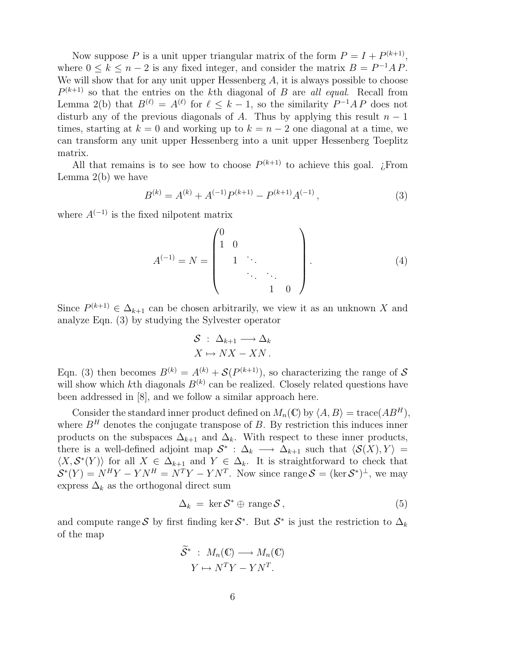Now suppose P is a unit upper triangular matrix of the form  $P = I + P^{(k+1)}$ , where  $0 \le k \le n-2$  is any fixed integer, and consider the matrix  $B = P^{-1}AP$ . We will show that for any unit upper Hessenberg  $A$ , it is always possible to choose  $P^{(k+1)}$  so that the entries on the kth diagonal of B are all equal. Recall from Lemma 2(b) that  $B^{(\ell)} = A^{(\ell)}$  for  $\ell \leq k-1$ , so the similarity  $P^{-1}AP$  does not disturb any of the previous diagonals of A. Thus by applying this result  $n-1$ times, starting at  $k = 0$  and working up to  $k = n - 2$  one diagonal at a time, we can transform any unit upper Hessenberg into a unit upper Hessenberg Toeplitz matrix.

All that remains is to see how to choose  $P^{(k+1)}$  to achieve this goal. ¿From Lemma  $2(b)$  we have

$$
B^{(k)} = A^{(k)} + A^{(-1)}P^{(k+1)} - P^{(k+1)}A^{(-1)},
$$
\n(3)

where  $A^{(-1)}$  is the fixed nilpotent matrix

$$
A^{(-1)} = N = \begin{pmatrix} 0 & & & & \\ 1 & 0 & & & \\ & 1 & \ddots & & \\ & & \ddots & \ddots & \\ & & & 1 & 0 \end{pmatrix} .
$$
 (4)

Since  $P^{(k+1)} \in \Delta_{k+1}$  can be chosen arbitrarily, we view it as an unknown X and analyze Eqn. (3) by studying the Sylvester operator

$$
\begin{aligned} \mathcal{S} &:\ \Delta_{k+1} \longrightarrow \Delta_k \\ X &\mapsto N X - X N \,. \end{aligned}
$$

Eqn. (3) then becomes  $B^{(k)} = A^{(k)} + \mathcal{S}(P^{(k+1)})$ , so characterizing the range of S will show which kth diagonals  $B^{(k)}$  can be realized. Closely related questions have been addressed in [8], and we follow a similar approach here.

Consider the standard inner product defined on  $M_n(\mathbb{C})$  by  $\langle A, B \rangle = \text{trace}(AB^H)$ , where  $B<sup>H</sup>$  denotes the conjugate transpose of B. By restriction this induces inner products on the subspaces  $\Delta_{k+1}$  and  $\Delta_k$ . With respect to these inner products, there is a well-defined adjoint map  $S^*$ :  $\Delta_k \longrightarrow \Delta_{k+1}$  such that  $\langle S(X), Y \rangle =$  $\langle X, \mathcal{S}^*(Y) \rangle$  for all  $X \in \Delta_{k+1}$  and  $Y \in \Delta_k$ . It is straightforward to check that  $\mathcal{S}^*(Y) = N^H Y - Y N^H = N^T Y - Y N^T$ . Now since range  $\mathcal{S} = (\ker \mathcal{S}^*)^{\perp}$ , we may express  $\Delta_k$  as the orthogonal direct sum

$$
\Delta_k = \ker \mathcal{S}^* \oplus \text{ range } \mathcal{S}, \tag{5}
$$

and compute range S by first finding ker  $S^*$ . But  $S^*$  is just the restriction to  $\Delta_k$ of the map

$$
\widetilde{S}^* : M_n(\mathbb{C}) \longrightarrow M_n(\mathbb{C})
$$

$$
Y \mapsto N^T Y - Y N^T.
$$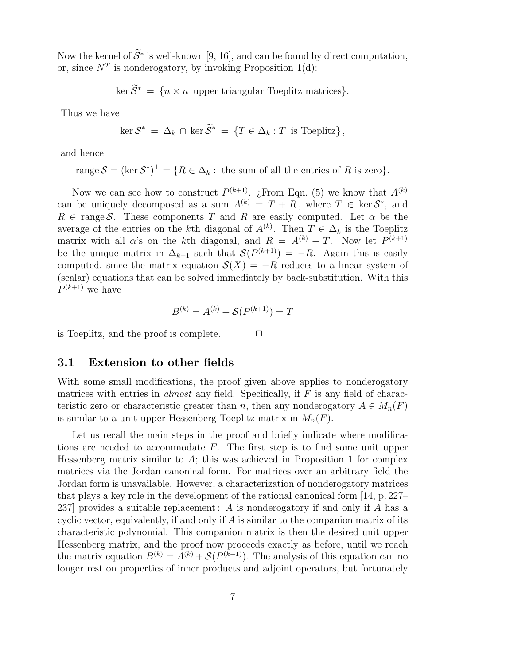Now the kernel of  $S^*$  is well-known [9, 16], and can be found by direct computation, or, since  $N^T$  is nonderogatory, by invoking Proposition 1(d):

$$
\ker \mathcal{S}^* = \{ n \times n \text{ upper triangular Toeplitz matrices} \}.
$$

Thus we have

$$
\ker S^* = \Delta_k \cap \ker \overline{S}^* = \{ T \in \Delta_k : T \text{ is Toeplitz} \},
$$

and hence

range  $S = (\ker S^*)^{\perp} = \{ R \in \Delta_k : \text{ the sum of all the entries of } R \text{ is zero} \}.$ 

Now we can see how to construct  $P^{(k+1)}$ . *i*. From Eqn. (5) we know that  $A^{(k)}$ can be uniquely decomposed as a sum  $A^{(k)} = T + R$ , where  $T \in \text{ker } S^*$ , and  $R \in \text{range} \mathcal{S}$ . These components T and R are easily computed. Let  $\alpha$  be the average of the entries on the kth diagonal of  $A^{(k)}$ . Then  $T \in \Delta_k$  is the Toeplitz matrix with all  $\alpha$ 's on the k<sup>th</sup> diagonal, and  $R = A^{(k)} - T$ . Now let  $P^{(k+1)}$ be the unique matrix in  $\Delta_{k+1}$  such that  $\mathcal{S}(P^{(k+1)}) = -R$ . Again this is easily computed, since the matrix equation  $S(X) = -R$  reduces to a linear system of (scalar) equations that can be solved immediately by back-substitution. With this  $P^{(k+1)}$  we have

$$
B^{(k)} = A^{(k)} + \mathcal{S}(P^{(k+1)}) = T
$$

is Toeplitz, and the proof is complete.  $\Box$ 

#### 3.1 Extension to other fields

With some small modifications, the proof given above applies to nonderogatory matrices with entries in *almost* any field. Specifically, if  $F$  is any field of characteristic zero or characteristic greater than n, then any nonderogatory  $A \in M_n(F)$ is similar to a unit upper Hessenberg Toeplitz matrix in  $M_n(F)$ .

Let us recall the main steps in the proof and briefly indicate where modifications are needed to accommodate  $F$ . The first step is to find some unit upper Hessenberg matrix similar to  $A$ ; this was achieved in Proposition 1 for complex matrices via the Jordan canonical form. For matrices over an arbitrary field the Jordan form is unavailable. However, a characterization of nonderogatory matrices that plays a key role in the development of the rational canonical form [14, p. 227– 237] provides a suitable replacement: A is nonderogatory if and only if A has a cyclic vector, equivalently, if and only if A is similar to the companion matrix of its characteristic polynomial. This companion matrix is then the desired unit upper Hessenberg matrix, and the proof now proceeds exactly as before, until we reach the matrix equation  $B^{(k)} = A^{(k)} + \mathcal{S}(P^{(k+1)})$ . The analysis of this equation can no longer rest on properties of inner products and adjoint operators, but fortunately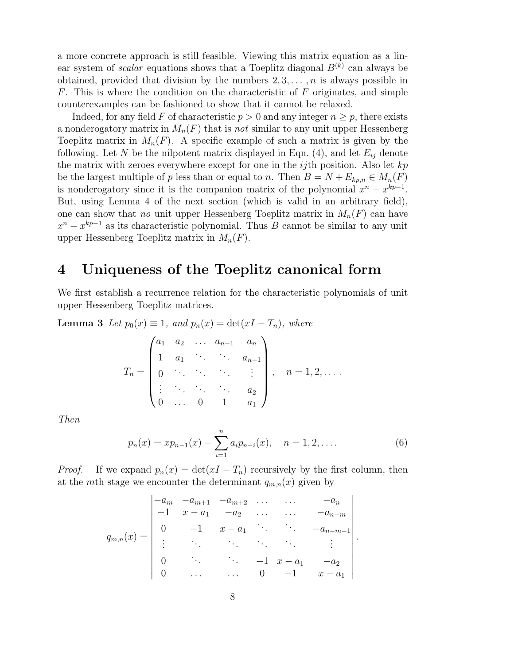a more concrete approach is still feasible. Viewing this matrix equation as a linear system of *scalar* equations shows that a Toeplitz diagonal  $B^{(k)}$  can always be obtained, provided that division by the numbers  $2, 3, \ldots, n$  is always possible in  $F$ . This is where the condition on the characteristic of  $F$  originates, and simple counterexamples can be fashioned to show that it cannot be relaxed.

Indeed, for any field F of characteristic  $p > 0$  and any integer  $n \geq p$ , there exists a nonderogatory matrix in  $M_n(F)$  that is not similar to any unit upper Hessenberg Toeplitz matrix in  $M_n(F)$ . A specific example of such a matrix is given by the following. Let N be the nilpotent matrix displayed in Eqn. (4), and let  $E_{ij}$  denote the matrix with zeroes everywhere except for one in the  $ij$ th position. Also let  $kp$ be the largest multiple of p less than or equal to n. Then  $B = N + E_{kp,n} \in M_n(F)$ is nonderogatory since it is the companion matrix of the polynomial  $x^n - x^{kp-1}$ . But, using Lemma 4 of the next section (which is valid in an arbitrary field), one can show that no unit upper Hessenberg Toeplitz matrix in  $M_n(F)$  can have  $x^{n} - x^{kp-1}$  as its characteristic polynomial. Thus B cannot be similar to any unit upper Hessenberg Toeplitz matrix in  $M_n(F)$ .

#### 4 Uniqueness of the Toeplitz canonical form

We first establish a recurrence relation for the characteristic polynomials of unit upper Hessenberg Toeplitz matrices.

**Lemma 3** Let  $p_0(x) \equiv 1$ , and  $p_n(x) = \det(xI - T_n)$ , where

$$
T_n = \begin{pmatrix} a_1 & a_2 & \dots & a_{n-1} & a_n \\ 1 & a_1 & \ddots & \ddots & a_{n-1} \\ 0 & \ddots & \ddots & \ddots & \vdots \\ \vdots & \ddots & \ddots & \ddots & a_2 \\ 0 & \dots & 0 & 1 & a_1 \end{pmatrix}, \quad n = 1, 2, \dots.
$$

Then

$$
p_n(x) = xp_{n-1}(x) - \sum_{i=1}^n a_i p_{n-i}(x), \quad n = 1, 2, .... \tag{6}
$$

.

*Proof.* If we expand  $p_n(x) = \det(xI - T_n)$  recursively by the first column, then at the mth stage we encounter the determinant  $q_{m,n}(x)$  given by

$$
q_{m,n}(x) = \begin{vmatrix} -a_m & -a_{m+1} & -a_{m+2} & \dots & -a_n \\ -1 & x - a_1 & -a_2 & \dots & -a_{n-m} \\ 0 & -1 & x - a_1 & \dots & -a_{n-m-1} \\ \vdots & \vdots & \ddots & \vdots & \vdots \\ 0 & \dots & \dots & \dots & \vdots \\ 0 & \dots & 0 & -1 & x - a_1 \end{vmatrix}
$$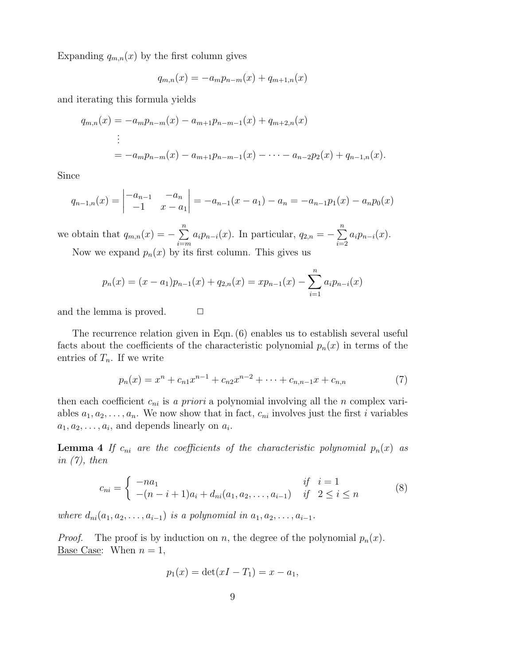Expanding  $q_{m,n}(x)$  by the first column gives

$$
q_{m,n}(x) = -a_m p_{n-m}(x) + q_{m+1,n}(x)
$$

and iterating this formula yields

$$
q_{m,n}(x) = -a_m p_{n-m}(x) - a_{m+1} p_{n-m-1}(x) + q_{m+2,n}(x)
$$
  
\n
$$
\vdots
$$
  
\n
$$
= -a_m p_{n-m}(x) - a_{m+1} p_{n-m-1}(x) - \dots - a_{n-2} p_2(x) + q_{n-1,n}(x).
$$

Since

$$
q_{n-1,n}(x) = \begin{vmatrix} -a_{n-1} & -a_n \\ -1 & x - a_1 \end{vmatrix} = -a_{n-1}(x - a_1) - a_n = -a_{n-1}p_1(x) - a_n p_0(x)
$$

we obtain that  $q_{m,n}(x) = -\sum_{n=0}^{n}$  $\sum_{i=m}^{n} a_i p_{n-i}(x)$ . In particular,  $q_{2,n} = -\sum_{i=2}^{n} q_i$  $\sum_{i=2} a_i p_{n-i}(x).$ Now we expand  $p_n(x)$  by its first column. This gives us

$$
p_n(x) = (x - a_1)p_{n-1}(x) + q_{2,n}(x) = xp_{n-1}(x) - \sum_{i=1}^{n} a_i p_{n-i}(x)
$$

and the lemma is proved.  $\Box$ 

The recurrence relation given in Eqn. (6) enables us to establish several useful facts about the coefficients of the characteristic polynomial  $p_n(x)$  in terms of the entries of  $T_n$ . If we write

$$
p_n(x) = x^n + c_{n1}x^{n-1} + c_{n2}x^{n-2} + \dots + c_{n,n-1}x + c_{n,n}
$$
 (7)

then each coefficient  $c_{ni}$  is a priori a polynomial involving all the n complex variables  $a_1, a_2, \ldots, a_n$ . We now show that in fact,  $c_{ni}$  involves just the first *i* variables  $a_1, a_2, \ldots, a_i$ , and depends linearly on  $a_i$ .

**Lemma 4** If  $c_{ni}$  are the coefficients of the characteristic polynomial  $p_n(x)$  as in  $(7)$ , then

$$
c_{ni} = \begin{cases} -na_1 & \text{if } i = 1\\ -(n-i+1)a_i + d_{ni}(a_1, a_2, \dots, a_{i-1}) & \text{if } 2 \le i \le n \end{cases}
$$
 (8)

where  $d_{ni}(a_1, a_2, \ldots, a_{i-1})$  is a polynomial in  $a_1, a_2, \ldots, a_{i-1}$ .

*Proof.* The proof is by induction on n, the degree of the polynomial  $p_n(x)$ . Base Case: When  $n = 1$ ,

$$
p_1(x) = \det(xI - T_1) = x - a_1,
$$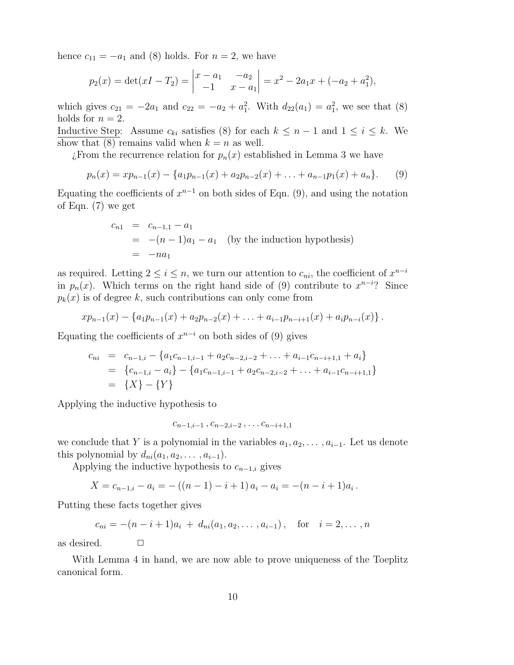hence  $c_{11} = -a_1$  and (8) holds. For  $n = 2$ , we have

$$
p_2(x) = \det(xI - T_2) = \begin{vmatrix} x - a_1 & -a_2 \\ -1 & x - a_1 \end{vmatrix} = x^2 - 2a_1x + (-a_2 + a_1^2),
$$

which gives  $c_{21} = -2a_1$  and  $c_{22} = -a_2 + a_1^2$ . With  $d_{22}(a_1) = a_1^2$ , we see that (8) holds for  $n = 2$ .

Inductive Step: Assume  $c_{ki}$  satisfies (8) for each  $k \leq n-1$  and  $1 \leq i \leq k$ . We show that (8) remains valid when  $k = n$  as well.

 $i$ . From the recurrence relation for  $p_n(x)$  established in Lemma 3 we have

$$
p_n(x) = x p_{n-1}(x) - \{a_1 p_{n-1}(x) + a_2 p_{n-2}(x) + \ldots + a_{n-1} p_1(x) + a_n\}.
$$
 (9)

Equating the coefficients of  $x^{n-1}$  on both sides of Eqn. (9), and using the notation of Eqn. (7) we get

$$
c_{n1} = c_{n-1,1} - a_1
$$
  
= -(n - 1)a\_1 - a\_1 (by the induction hypothesis)  
= -na\_1

as required. Letting  $2 \leq i \leq n$ , we turn our attention to  $c_{ni}$ , the coefficient of  $x^{n-i}$ in  $p_n(x)$ . Which terms on the right hand side of (9) contribute to  $x^{n-i}$ ? Since  $p_k(x)$  is of degree k, such contributions can only come from

$$
xp_{n-1}(x) - \{a_1p_{n-1}(x) + a_2p_{n-2}(x) + \ldots + a_{i-1}p_{n-i+1}(x) + a_ip_{n-i}(x)\}.
$$

Equating the coefficients of  $x^{n-i}$  on both sides of (9) gives

$$
c_{ni} = c_{n-1,i} - \{a_1c_{n-1,i-1} + a_2c_{n-2,i-2} + \dots + a_{i-1}c_{n-i+1,1} + a_i\}
$$
  
=  $\{c_{n-1,i} - a_i\} - \{a_1c_{n-1,i-1} + a_2c_{n-2,i-2} + \dots + a_{i-1}c_{n-i+1,1}\}$   
=  $\{X\} - \{Y\}$ 

Applying the inductive hypothesis to

$$
c_{n-1,i-1}, c_{n-2,i-2}, \ldots c_{n-i+1,1}
$$

we conclude that Y is a polynomial in the variables  $a_1, a_2, \ldots, a_{i-1}$ . Let us denote this polynomial by  $d_{ni}(a_1, a_2, \ldots, a_{i-1}).$ 

Applying the inductive hypothesis to  $c_{n-1,i}$  gives

$$
X = c_{n-1,i} - a_i = -((n-1) - i + 1)a_i - a_i = -(n-i+1)a_i.
$$

Putting these facts together gives

$$
c_{ni} = -(n-i+1)a_i + d_{ni}(a_1, a_2, \dots, a_{i-1}),
$$
 for  $i = 2, \dots, n$ 

as desired.  $\Box$ 

With Lemma 4 in hand, we are now able to prove uniqueness of the Toeplitz canonical form.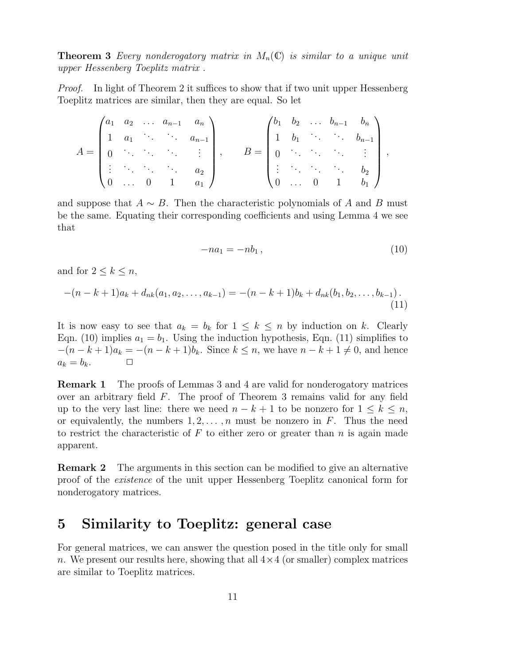**Theorem 3** Every nonderogatory matrix in  $M_n(\mathbb{C})$  is similar to a unique unit upper Hessenberg Toeplitz matrix .

*Proof.* In light of Theorem 2 it suffices to show that if two unit upper Hessenberg Toeplitz matrices are similar, then they are equal. So let

$$
A = \begin{pmatrix} a_1 & a_2 & \dots & a_{n-1} & a_n \\ 1 & a_1 & \ddots & \ddots & a_{n-1} \\ 0 & \ddots & \ddots & \ddots & \vdots \\ \vdots & \ddots & \ddots & \ddots & a_2 \\ 0 & \dots & 0 & 1 & a_1 \end{pmatrix}, \qquad B = \begin{pmatrix} b_1 & b_2 & \dots & b_{n-1} & b_n \\ 1 & b_1 & \ddots & \ddots & b_{n-1} \\ 0 & \ddots & \ddots & \ddots & \vdots \\ \vdots & \ddots & \ddots & \ddots & b_2 \\ 0 & \dots & 0 & 1 & b_1 \end{pmatrix},
$$

and suppose that  $A \sim B$ . Then the characteristic polynomials of A and B must be the same. Equating their corresponding coefficients and using Lemma 4 we see that

$$
-na_1 = -nb_1, \tag{10}
$$

and for  $2 \leq k \leq n$ ,

$$
-(n-k+1)a_k + d_{nk}(a_1, a_2, \dots, a_{k-1}) = -(n-k+1)b_k + d_{nk}(b_1, b_2, \dots, b_{k-1}).
$$
\n(11)

It is now easy to see that  $a_k = b_k$  for  $1 \leq k \leq n$  by induction on k. Clearly Eqn. (10) implies  $a_1 = b_1$ . Using the induction hypothesis, Eqn. (11) simplifies to  $-(n-k+1)a_k = -(n-k+1)b_k$ . Since  $k \leq n$ , we have  $n-k+1 \neq 0$ , and hence  $a_k = b_k$ .  $a_k = b_k$ .

Remark 1 The proofs of Lemmas 3 and 4 are valid for nonderogatory matrices over an arbitrary field F. The proof of Theorem 3 remains valid for any field up to the very last line: there we need  $n - k + 1$  to be nonzero for  $1 \leq k \leq n$ , or equivalently, the numbers  $1, 2, \ldots, n$  must be nonzero in F. Thus the need to restrict the characteristic of  $F$  to either zero or greater than  $n$  is again made apparent.

Remark 2 The arguments in this section can be modified to give an alternative proof of the existence of the unit upper Hessenberg Toeplitz canonical form for nonderogatory matrices.

### 5 Similarity to Toeplitz: general case

For general matrices, we can answer the question posed in the title only for small n. We present our results here, showing that all  $4 \times 4$  (or smaller) complex matrices are similar to Toeplitz matrices.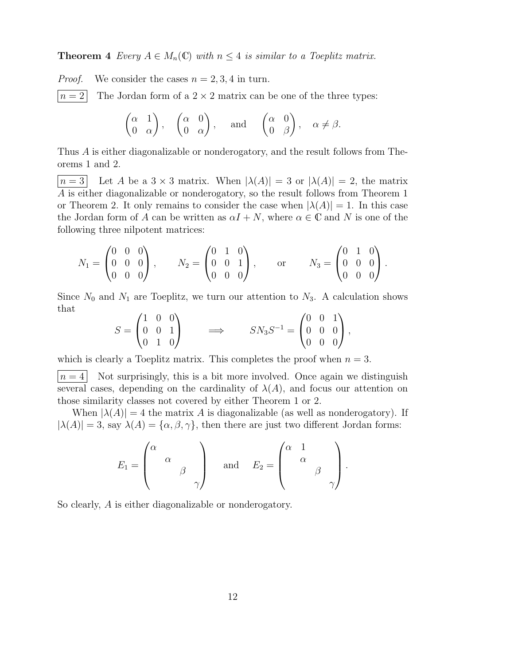**Theorem 4** Every  $A \in M_n(\mathbb{C})$  with  $n \leq 4$  is similar to a Toeplitz matrix.

*Proof.* We consider the cases  $n = 2, 3, 4$  in turn.

 $n = 2$  The Jordan form of a 2 × 2 matrix can be one of the three types:

$$
\begin{pmatrix} \alpha & 1 \\ 0 & \alpha \end{pmatrix}
$$
,  $\begin{pmatrix} \alpha & 0 \\ 0 & \alpha \end{pmatrix}$ , and  $\begin{pmatrix} \alpha & 0 \\ 0 & \beta \end{pmatrix}$ ,  $\alpha \neq \beta$ .

Thus A is either diagonalizable or nonderogatory, and the result follows from Theorems 1 and 2.

 $|n=3|$  Let A be a  $3 \times 3$  matrix. When  $|\lambda(A)|=3$  or  $|\lambda(A)|=2$ , the matrix A is either diagonalizable or nonderogatory, so the result follows from Theorem 1 or Theorem 2. It only remains to consider the case when  $|\lambda(A)| = 1$ . In this case the Jordan form of A can be written as  $\alpha I + N$ , where  $\alpha \in \mathbb{C}$  and N is one of the following three nilpotent matrices:

$$
N_1 = \begin{pmatrix} 0 & 0 & 0 \\ 0 & 0 & 0 \\ 0 & 0 & 0 \end{pmatrix}, \qquad N_2 = \begin{pmatrix} 0 & 1 & 0 \\ 0 & 0 & 1 \\ 0 & 0 & 0 \end{pmatrix}, \qquad \text{or} \qquad N_3 = \begin{pmatrix} 0 & 1 & 0 \\ 0 & 0 & 0 \\ 0 & 0 & 0 \end{pmatrix}.
$$

Since  $N_0$  and  $N_1$  are Toeplitz, we turn our attention to  $N_3$ . A calculation shows that

$$
S = \begin{pmatrix} 1 & 0 & 0 \\ 0 & 0 & 1 \\ 0 & 1 & 0 \end{pmatrix} \qquad \Longrightarrow \qquad SN_3 S^{-1} = \begin{pmatrix} 0 & 0 & 1 \\ 0 & 0 & 0 \\ 0 & 0 & 0 \end{pmatrix}
$$

,

which is clearly a Toeplitz matrix. This completes the proof when  $n = 3$ .

 $n = 4$  Not surprisingly, this is a bit more involved. Once again we distinguish several cases, depending on the cardinality of  $\lambda(A)$ , and focus our attention on those similarity classes not covered by either Theorem 1 or 2.

When  $|\lambda(A)| = 4$  the matrix A is diagonalizable (as well as nonderogatory). If  $|\lambda(A)| = 3$ , say  $\lambda(A) = {\alpha, \beta, \gamma}$ , then there are just two different Jordan forms:

$$
E_1 = \begin{pmatrix} \alpha & & \\ & \alpha & \\ & & \beta & \\ & & & \gamma \end{pmatrix} \quad \text{and} \quad E_2 = \begin{pmatrix} \alpha & 1 & & \\ & \alpha & & \\ & & \beta & \\ & & & \gamma \end{pmatrix}.
$$

So clearly, A is either diagonalizable or nonderogatory.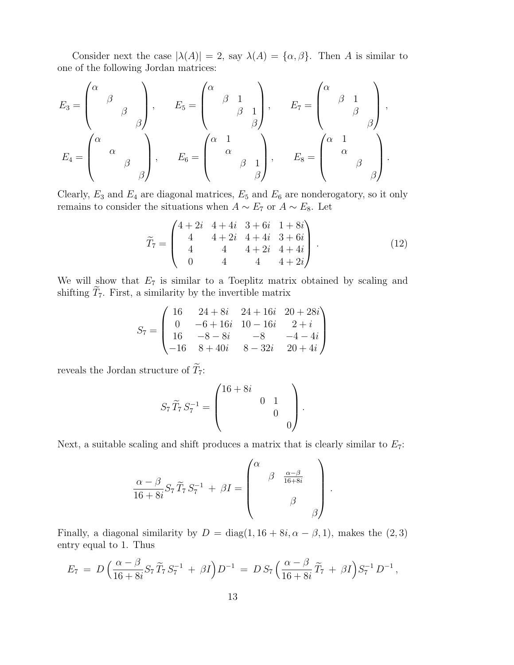Consider next the case  $|\lambda(A)| = 2$ , say  $\lambda(A) = {\alpha, \beta}$ . Then A is similar to one of the following Jordan matrices:

$$
E_3 = \begin{pmatrix} \alpha & & & \\ & \beta & & \\ & & \beta & \\ & & & \beta \end{pmatrix}, \qquad E_5 = \begin{pmatrix} \alpha & & & \\ & \beta & 1 & \\ & & \beta & 1 \\ & & & \beta \end{pmatrix}, \qquad E_7 = \begin{pmatrix} \alpha & & & \\ & \beta & 1 & \\ & & \beta & \\ & & & \beta \end{pmatrix},
$$

$$
E_4 = \begin{pmatrix} \alpha & & & \\ & \alpha & & \\ & & \beta & \\ & & & \beta \end{pmatrix}, \qquad E_6 = \begin{pmatrix} \alpha & 1 & & \\ & \alpha & & \\ & & \beta & 1 \\ & & & \beta \end{pmatrix}, \qquad E_8 = \begin{pmatrix} \alpha & 1 & & \\ & \alpha & & \\ & & \beta & \\ & & & \beta \end{pmatrix}.
$$

Clearly,  $E_3$  and  $E_4$  are diagonal matrices,  $E_5$  and  $E_6$  are nonderogatory, so it only remains to consider the situations when  $A \sim E_7$  or  $A \sim E_8$ . Let

$$
\widetilde{T}_7 = \begin{pmatrix}\n4+2i & 4+4i & 3+6i & 1+8i \\
4 & 4+2i & 4+4i & 3+6i \\
4 & 4 & 4+2i & 4+4i \\
0 & 4 & 4 & 4+2i\n\end{pmatrix} . \tag{12}
$$

We will show that  $E_7$  is similar to a Toeplitz matrix obtained by scaling and shifting  $\widetilde{T}_7$ . First, a similarity by the invertible matrix

$$
S_7 = \begin{pmatrix} 16 & 24+8i & 24+16i & 20+28i \\ 0 & -6+16i & 10-16i & 2+i \\ 16 & -8-8i & -8 & -4-4i \\ -16 & 8+40i & 8-32i & 20+4i \end{pmatrix}
$$

reveals the Jordan structure of  $\widetilde{T}_7$ :

$$
S_7 \widetilde{T}_7 S_7^{-1} = \begin{pmatrix} 16 + 8i & & & \\ & 0 & 1 & \\ & & 0 & \\ & & & 0 \end{pmatrix}.
$$

Next, a suitable scaling and shift produces a matrix that is clearly similar to  $E_7$ :

$$
\frac{\alpha - \beta}{16 + 8i} S_7 \widetilde{T}_7 S_7^{-1} + \beta I = \begin{pmatrix} \alpha & & & \\ & \beta & \frac{\alpha - \beta}{16 + 8i} \\ & & \beta & \\ & & & \beta \end{pmatrix}.
$$

Finally, a diagonal similarity by  $D = diag(1, 16 + 8i, \alpha - \beta, 1)$ , makes the  $(2, 3)$ entry equal to 1. Thus

$$
E_7 = D\left(\frac{\alpha - \beta}{16 + 8i}S_7\widetilde{T}_7S_7^{-1} + \beta I\right)D^{-1} = DS_7\left(\frac{\alpha - \beta}{16 + 8i}\widetilde{T}_7 + \beta I\right)S_7^{-1}D^{-1},
$$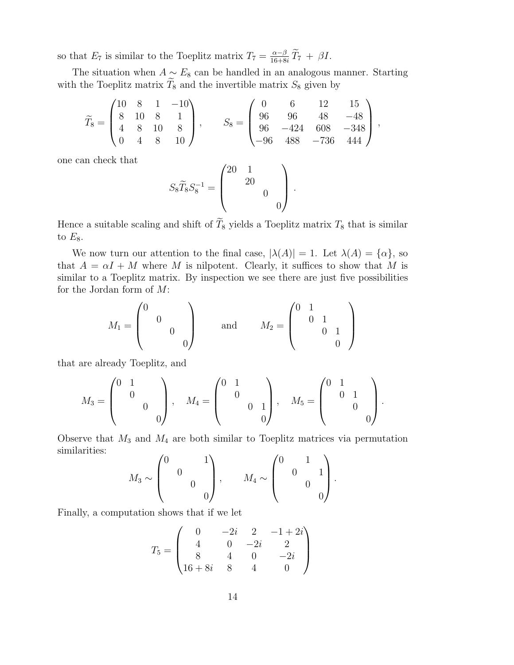so that  $E_7$  is similar to the Toeplitz matrix  $T_7 = \frac{\alpha - \beta}{16 + 8i} \tilde{T}_7 + \beta I$ .

The situation when  $A \sim E_8$  can be handled in an analogous manner. Starting with the Toeplitz matrix  $\tilde{T}_8$  and the invertible matrix  $S_8$  given by

$$
\widetilde{T}_8 = \begin{pmatrix} 10 & 8 & 1 & -10 \\ 8 & 10 & 8 & 1 \\ 4 & 8 & 10 & 8 \\ 0 & 4 & 8 & 10 \end{pmatrix}, \quad S_8 = \begin{pmatrix} 0 & 6 & 12 & 15 \\ 96 & 96 & 48 & -48 \\ 96 & -424 & 608 & -348 \\ -96 & 488 & -736 & 444 \end{pmatrix},
$$

one can check that

$$
S_8 \widetilde{T}_8 S_8^{-1} = \begin{pmatrix} 20 & 1 & & \\ & 20 & & \\ & & 0 & \\ & & & 0 \end{pmatrix}.
$$

Hence a suitable scaling and shift of  $\widetilde{T}_8$  yields a Toeplitz matrix  $T_8$  that is similar to  $E_8$ .

We now turn our attention to the final case,  $|\lambda(A)| = 1$ . Let  $\lambda(A) = {\alpha}$ , so that  $A = \alpha I + M$  where M is nilpotent. Clearly, it suffices to show that M is similar to a Toeplitz matrix. By inspection we see there are just five possibilities for the Jordan form of M:

$$
M_1 = \begin{pmatrix} 0 & & & \\ & 0 & & \\ & & 0 & \\ & & & 0 \end{pmatrix} \quad \text{and} \quad M_2 = \begin{pmatrix} 0 & 1 & & \\ & 0 & 1 & \\ & & 0 & 1 \\ & & & 0 \end{pmatrix}
$$

that are already Toeplitz, and

$$
M_3 = \begin{pmatrix} 0 & 1 & & \\ & 0 & & \\ & & 0 & \\ & & & 0 \end{pmatrix}, \quad M_4 = \begin{pmatrix} 0 & 1 & & \\ & 0 & & \\ & & 0 & 1 \\ & & & 0 \end{pmatrix}, \quad M_5 = \begin{pmatrix} 0 & 1 & & \\ & 0 & 1 & \\ & & 0 & \\ & & & 0 \end{pmatrix}.
$$

Observe that  $M_3$  and  $M_4$  are both similar to Toeplitz matrices via permutation similarities:  $\sqrt{2}$  $\sqrt{2}$ 

$$
M_3 \sim \begin{pmatrix} 0 & 1 \\ & 0 & \\ & & 0 \\ & & & 0 \end{pmatrix}, \qquad M_4 \sim \begin{pmatrix} 0 & 1 & \\ & 0 & 1 \\ & & 0 \\ & & & 0 \end{pmatrix}.
$$

Finally, a computation shows that if we let

$$
T_5 = \begin{pmatrix} 0 & -2i & 2 & -1+2i \\ 4 & 0 & -2i & 2 \\ 8 & 4 & 0 & -2i \\ 16+8i & 8 & 4 & 0 \end{pmatrix}
$$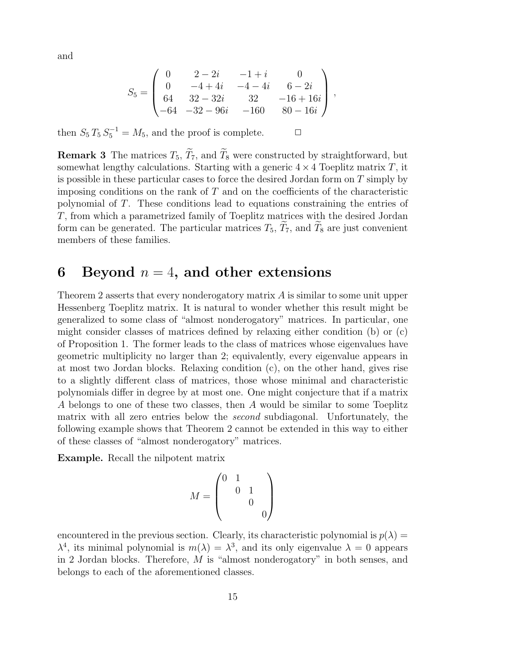and

$$
S_5 = \begin{pmatrix} 0 & 2-2i & -1+i & 0 \\ 0 & -4+4i & -4-4i & 6-2i \\ 64 & 32-32i & 32 & -16+16i \\ -64 & -32-96i & -160 & 80-16i \end{pmatrix},
$$

then  $S_5 T_5 S_5^{-1} = M_5$ , and the proof is complete.  $\Box$ 

**Remark 3** The matrices  $T_5$ ,  $\widetilde{T}_7$ , and  $\widetilde{T}_8$  were constructed by straightforward, but somewhat lengthy calculations. Starting with a generic  $4 \times 4$  Toeplitz matrix T, it is possible in these particular cases to force the desired Jordan form on  $T$  simply by imposing conditions on the rank of  $T$  and on the coefficients of the characteristic polynomial of T. These conditions lead to equations constraining the entries of T, from which a parametrized family of Toeplitz matrices with the desired Jordan form can be generated. The particular matrices  $T_5$ ,  $T_7$ , and  $T_8$  are just convenient members of these families.

#### 6 Beyond  $n = 4$ , and other extensions

Theorem 2 asserts that every nonderogatory matrix  $A$  is similar to some unit upper Hessenberg Toeplitz matrix. It is natural to wonder whether this result might be generalized to some class of "almost nonderogatory" matrices. In particular, one might consider classes of matrices defined by relaxing either condition (b) or (c) of Proposition 1. The former leads to the class of matrices whose eigenvalues have geometric multiplicity no larger than 2; equivalently, every eigenvalue appears in at most two Jordan blocks. Relaxing condition (c), on the other hand, gives rise to a slightly different class of matrices, those whose minimal and characteristic polynomials differ in degree by at most one. One might conjecture that if a matrix A belongs to one of these two classes, then A would be similar to some Toeplitz matrix with all zero entries below the second subdiagonal. Unfortunately, the following example shows that Theorem 2 cannot be extended in this way to either of these classes of "almost nonderogatory" matrices.

Example. Recall the nilpotent matrix

$$
M = \begin{pmatrix} 0 & 1 & & \\ & 0 & 1 & \\ & & 0 & \\ & & & 0 \end{pmatrix}
$$

encountered in the previous section. Clearly, its characteristic polynomial is  $p(\lambda) =$  $\lambda^4$ , its minimal polynomial is  $m(\lambda) = \lambda^3$ , and its only eigenvalue  $\lambda = 0$  appears in 2 Jordan blocks. Therefore, M is "almost nonderogatory" in both senses, and belongs to each of the aforementioned classes.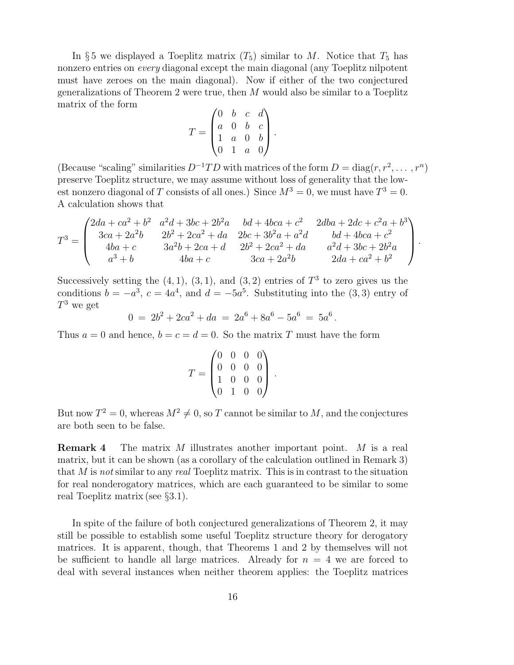In §5 we displayed a Toeplitz matrix  $(T_5)$  similar to M. Notice that  $T_5$  has nonzero entries on every diagonal except the main diagonal (any Toeplitz nilpotent must have zeroes on the main diagonal). Now if either of the two conjectured generalizations of Theorem 2 were true, then M would also be similar to a Toeplitz matrix of the form

$$
T = \begin{pmatrix} 0 & b & c & d \\ a & 0 & b & c \\ 1 & a & 0 & b \\ 0 & 1 & a & 0 \end{pmatrix}.
$$

(Because "scaling" similarities  $D^{-1}TD$  with matrices of the form  $D = diag(r, r^2, \dots, r^n)$ preserve Toeplitz structure, we may assume without loss of generality that the lowest nonzero diagonal of T consists of all ones.) Since  $M^3 = 0$ , we must have  $T^3 = 0$ . A calculation shows that

$$
T^{3} = \begin{pmatrix} 2da + ca^{2} + b^{2} & a^{2}d + 3bc + 2b^{2}a & bd + 4bca + c^{2} & 2dba + 2dc + c^{2}a + b^{3} \\ 3ca + 2a^{2}b & 2b^{2} + 2ca^{2} + da & 2bc + 3b^{2}a + a^{2}d & bd + 4bca + c^{2} \\ 4ba + c & 3a^{2}b + 2ca + d & 2b^{2} + 2ca^{2} + da & a^{2}d + 3bc + 2b^{2}a \\ a^{3} + b & 4ba + c & 3ca + 2a^{2}b & 2da + ca^{2} + b^{2} \end{pmatrix}.
$$

Successively setting the  $(4, 1), (3, 1),$  and  $(3, 2)$  entries of  $T<sup>3</sup>$  to zero gives us the conditions  $b = -a^3$ ,  $c = 4a^4$ , and  $d = -5a^5$ . Substituting into the (3,3) entry of  $T^3$  we get

 $0 = 2b^2 + 2ca^2 + da = 2a^6 + 8a^6 - 5a^6 = 5a^6$ .

Thus  $a = 0$  and hence,  $b = c = d = 0$ . So the matrix T must have the form

$$
T = \begin{pmatrix} 0 & 0 & 0 & 0 \\ 0 & 0 & 0 & 0 \\ 1 & 0 & 0 & 0 \\ 0 & 1 & 0 & 0 \end{pmatrix}.
$$

But now  $T^2 = 0$ , whereas  $M^2 \neq 0$ , so T cannot be similar to M, and the conjectures are both seen to be false.

**Remark 4** The matrix M illustrates another important point. M is a real matrix, but it can be shown (as a corollary of the calculation outlined in Remark 3) that M is not similar to any real Toeplitz matrix. This is in contrast to the situation for real nonderogatory matrices, which are each guaranteed to be similar to some real Toeplitz matrix (see §3.1).

In spite of the failure of both conjectured generalizations of Theorem 2, it may still be possible to establish some useful Toeplitz structure theory for derogatory matrices. It is apparent, though, that Theorems 1 and 2 by themselves will not be sufficient to handle all large matrices. Already for  $n = 4$  we are forced to deal with several instances when neither theorem applies: the Toeplitz matrices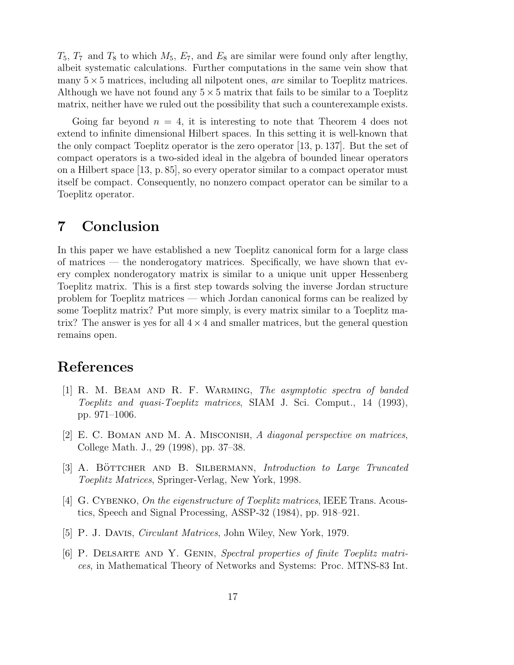$T_5$ ,  $T_7$  and  $T_8$  to which  $M_5$ ,  $E_7$ , and  $E_8$  are similar were found only after lengthy, albeit systematic calculations. Further computations in the same vein show that many  $5 \times 5$  matrices, including all nilpotent ones, *are* similar to Toeplitz matrices. Although we have not found any  $5 \times 5$  matrix that fails to be similar to a Toeplitz matrix, neither have we ruled out the possibility that such a counterexample exists.

Going far beyond  $n = 4$ , it is interesting to note that Theorem 4 does not extend to infinite dimensional Hilbert spaces. In this setting it is well-known that the only compact Toeplitz operator is the zero operator [13, p. 137]. But the set of compact operators is a two-sided ideal in the algebra of bounded linear operators on a Hilbert space [13, p. 85], so every operator similar to a compact operator must itself be compact. Consequently, no nonzero compact operator can be similar to a Toeplitz operator.

## 7 Conclusion

In this paper we have established a new Toeplitz canonical form for a large class of matrices — the nonderogatory matrices. Specifically, we have shown that every complex nonderogatory matrix is similar to a unique unit upper Hessenberg Toeplitz matrix. This is a first step towards solving the inverse Jordan structure problem for Toeplitz matrices — which Jordan canonical forms can be realized by some Toeplitz matrix? Put more simply, is every matrix similar to a Toeplitz matrix? The answer is yes for all  $4 \times 4$  and smaller matrices, but the general question remains open.

### References

- [1] R. M. Beam and R. F. Warming, The asymptotic spectra of banded Toeplitz and quasi-Toeplitz matrices, SIAM J. Sci. Comput., 14 (1993), pp. 971–1006.
- [2] E. C. Boman and M. A. Misconish, A diagonal perspective on matrices, College Math. J., 29 (1998), pp. 37–38.
- [3] A. BÖTTCHER AND B. SILBERMANN, *Introduction to Large Truncated* Toeplitz Matrices, Springer-Verlag, New York, 1998.
- [4] G. CYBENKO, On the eigenstructure of Toeplitz matrices, IEEE Trans. Acoustics, Speech and Signal Processing, ASSP-32 (1984), pp. 918–921.
- [5] P. J. Davis, Circulant Matrices, John Wiley, New York, 1979.
- [6] P. DELSARTE AND Y. GENIN, Spectral properties of finite Toeplitz matrices, in Mathematical Theory of Networks and Systems: Proc. MTNS-83 Int.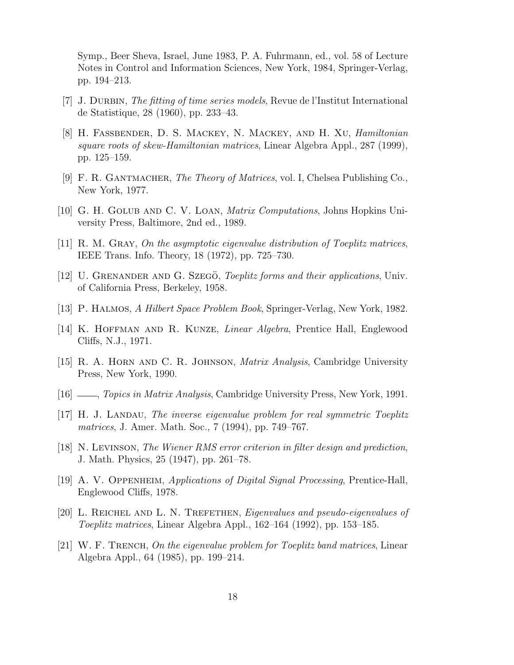Symp., Beer Sheva, Israel, June 1983, P. A. Fuhrmann, ed., vol. 58 of Lecture Notes in Control and Information Sciences, New York, 1984, Springer-Verlag, pp. 194–213.

- [7] J. Durbin, The fitting of time series models, Revue de l'Institut International de Statistique, 28 (1960), pp. 233–43.
- [8] H. Faßbender, D. S. Mackey, N. Mackey, and H. Xu, Hamiltonian square roots of skew-Hamiltonian matrices, Linear Algebra Appl., 287 (1999), pp. 125–159.
- [9] F. R. Gantmacher, The Theory of Matrices, vol. I, Chelsea Publishing Co., New York, 1977.
- [10] G. H. Golub and C. V. Loan, Matrix Computations, Johns Hopkins University Press, Baltimore, 2nd ed., 1989.
- [11] R. M. Gray, On the asymptotic eigenvalue distribution of Toeplitz matrices, IEEE Trans. Info. Theory, 18 (1972), pp. 725–730.
- [12] U. GRENANDER AND G. SZEGÖ, *Toeplitz forms and their applications*, Univ. of California Press, Berkeley, 1958.
- [13] P. HALMOS, A Hilbert Space Problem Book, Springer-Verlag, New York, 1982.
- [14] K. Hoffman and R. Kunze, Linear Algebra, Prentice Hall, Englewood Cliffs, N.J., 1971.
- [15] R. A. Horn and C. R. Johnson, Matrix Analysis, Cambridge University Press, New York, 1990.
- [16]  $\ldots$ , Topics in Matrix Analysis, Cambridge University Press, New York, 1991.
- [17] H. J. Landau, The inverse eigenvalue problem for real symmetric Toeplitz matrices, J. Amer. Math. Soc., 7 (1994), pp. 749–767.
- [18] N. Levinson, The Wiener RMS error criterion in filter design and prediction, J. Math. Physics, 25 (1947), pp. 261–78.
- [19] A. V. Oppenheim, Applications of Digital Signal Processing, Prentice-Hall, Englewood Cliffs, 1978.
- [20] L. Reichel and L. N. Trefethen, Eigenvalues and pseudo-eigenvalues of Toeplitz matrices, Linear Algebra Appl., 162–164 (1992), pp. 153–185.
- [21] W. F. TRENCH, On the eigenvalue problem for Toeplitz band matrices, Linear Algebra Appl., 64 (1985), pp. 199–214.